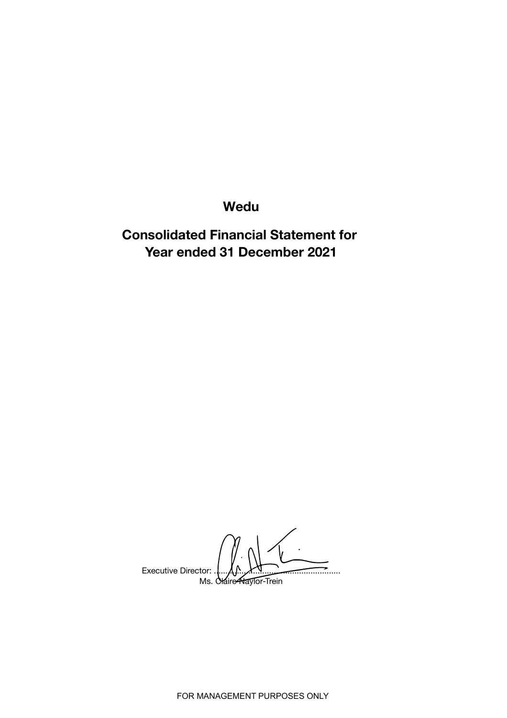Wedu

Consolidated Financial Statement for Year ended 31 December 2021

Executive Director: Ms. Claire Naylor-Trein

FOR MANAGEMENT PURPOSES ONLY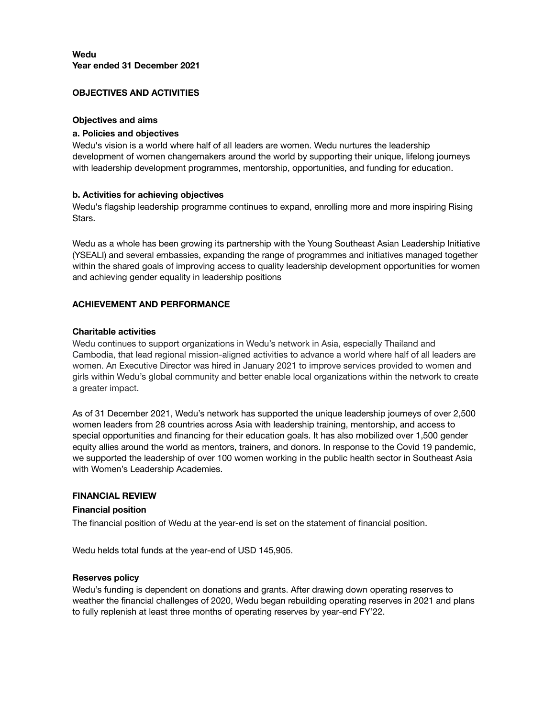## OBJECTIVES AND ACTIVITIES

#### Objectives and aims

#### a. Policies and objectives

Wedu's vision is a world where half of all leaders are women. Wedu nurtures the leadership development of women changemakers around the world by supporting their unique, lifelong journeys with leadership development programmes, mentorship, opportunities, and funding for education.

### b. Activities for achieving objectives

Wedu's flagship leadership programme continues to expand, enrolling more and more inspiring Rising Stars.

Wedu as a whole has been growing its partnership with the Young Southeast Asian Leadership Initiative (YSEALI) and several embassies, expanding the range of programmes and initiatives managed together within the shared goals of improving access to quality leadership development opportunities for women and achieving gender equality in leadership positions

### ACHIEVEMENT AND PERFORMANCE

#### Charitable activities

Wedu continues to support organizations in Wedu's network in Asia, especially Thailand and Cambodia, that lead regional mission-aligned activities to advance a world where half of all leaders are women. An Executive Director was hired in January 2021 to improve services provided to women and girls within Wedu's global community and better enable local organizations within the network to create a greater impact.

As of 31 December 2021, Wedu's network has supported the unique leadership journeys of over 2,500 women leaders from 28 countries across Asia with leadership training, mentorship, and access to special opportunities and financing for their education goals. It has also mobilized over 1,500 gender equity allies around the world as mentors, trainers, and donors. In response to the Covid 19 pandemic, we supported the leadership of over 100 women working in the public health sector in Southeast Asia with Women's Leadership Academies.

### FINANCIAL REVIEW

#### Financial position

The financial position of Wedu at the year-end is set on the statement of financial position.

Wedu helds total funds at the year-end of USD 145,905.

#### Reserves policy

Wedu's funding is dependent on donations and grants. After drawing down operating reserves to weather the financial challenges of 2020, Wedu began rebuilding operating reserves in 2021 and plans to fully replenish at least three months of operating reserves by year-end FY'22.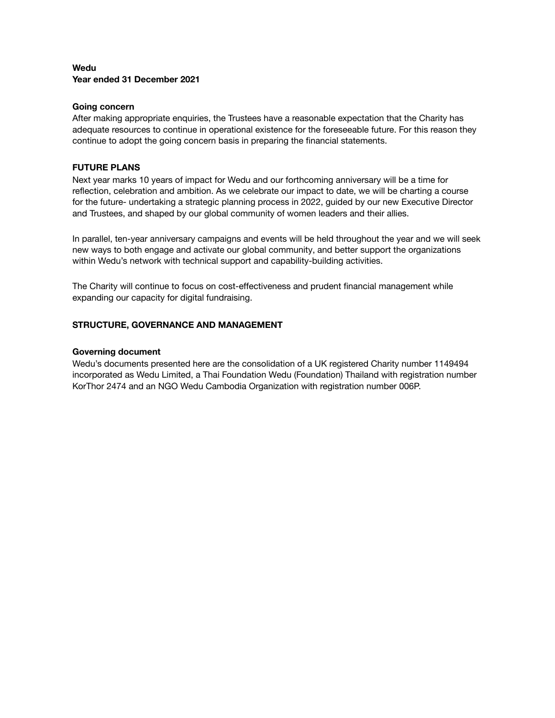## Wedu Year ended 31 December 2021

#### Going concern

After making appropriate enquiries, the Trustees have a reasonable expectation that the Charity has adequate resources to continue in operational existence for the foreseeable future. For this reason they continue to adopt the going concern basis in preparing the financial statements.

### FUTURE PLANS

Next year marks 10 years of impact for Wedu and our forthcoming anniversary will be a time for reflection, celebration and ambition. As we celebrate our impact to date, we will be charting a course for the future- undertaking a strategic planning process in 2022, guided by our new Executive Director and Trustees, and shaped by our global community of women leaders and their allies.

In parallel, ten-year anniversary campaigns and events will be held throughout the year and we will seek new ways to both engage and activate our global community, and better support the organizations within Wedu's network with technical support and capability-building activities.

The Charity will continue to focus on cost-effectiveness and prudent financial management while expanding our capacity for digital fundraising.

### STRUCTURE, GOVERNANCE AND MANAGEMENT

#### Governing document

Wedu's documents presented here are the consolidation of a UK registered Charity number 1149494 incorporated as Wedu Limited, a Thai Foundation Wedu (Foundation) Thailand with registration number KorThor 2474 and an NGO Wedu Cambodia Organization with registration number 006P.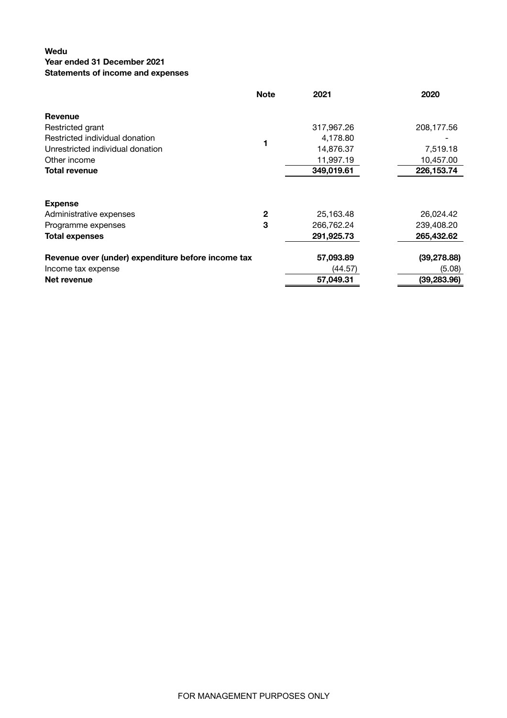## Wedu

# Year ended 31 December 2021

## Statements of income and expenses

|                                                    | <b>Note</b>  | 2021       | 2020         |
|----------------------------------------------------|--------------|------------|--------------|
| Revenue                                            |              |            |              |
| Restricted grant                                   |              | 317,967.26 | 208,177.56   |
| Restricted individual donation                     |              | 4,178.80   |              |
| Unrestricted individual donation                   |              | 14,876.37  | 7,519.18     |
| Other income                                       |              | 11,997.19  | 10,457.00    |
| <b>Total revenue</b>                               |              | 349,019.61 | 226, 153. 74 |
|                                                    |              |            |              |
| <b>Expense</b>                                     |              |            |              |
| Administrative expenses                            | $\mathbf{2}$ | 25,163.48  | 26,024.42    |
| Programme expenses                                 | 3            | 266,762.24 | 239,408.20   |
| <b>Total expenses</b>                              |              | 291,925.73 | 265,432.62   |
| Revenue over (under) expenditure before income tax |              | 57,093.89  | (39, 278.88) |
| Income tax expense                                 |              | (44.57)    | (5.08)       |
| Net revenue                                        |              | 57,049.31  | (39, 283.96) |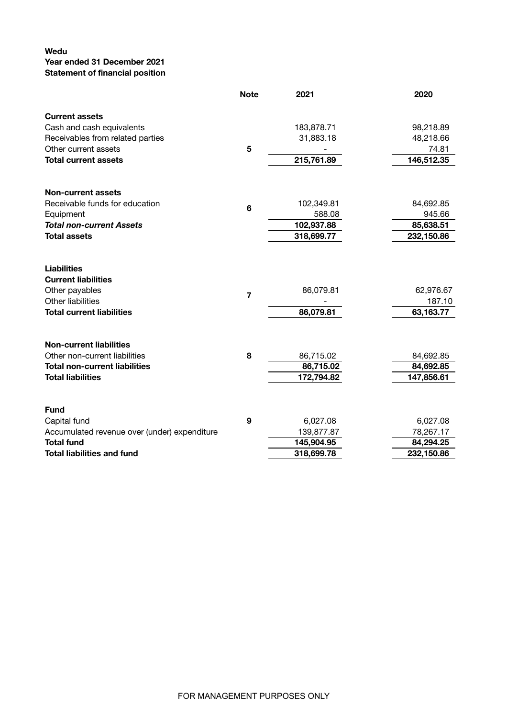# Wedu

# Year ended 31 December 2021

Statement of financial position

|                                                                                                                             | <b>Note</b>    | 2021                   | 2020                   |
|-----------------------------------------------------------------------------------------------------------------------------|----------------|------------------------|------------------------|
| <b>Current assets</b>                                                                                                       |                |                        |                        |
| Cash and cash equivalents                                                                                                   |                | 183,878.71             | 98,218.89              |
| Receivables from related parties                                                                                            |                | 31,883.18              | 48,218.66              |
| Other current assets                                                                                                        | 5              |                        | 74.81                  |
| <b>Total current assets</b>                                                                                                 |                | 215,761.89             | 146,512.35             |
| <b>Non-current assets</b>                                                                                                   |                |                        |                        |
| Receivable funds for education                                                                                              |                | 102,349.81             | 84,692.85              |
| Equipment                                                                                                                   | $6\phantom{1}$ | 588.08                 | 945.66                 |
| <b>Total non-current Assets</b>                                                                                             |                | 102,937.88             | 85,638.51              |
| <b>Total assets</b>                                                                                                         |                | 318,699.77             | 232,150.86             |
| <b>Liabilities</b><br><b>Current liabilities</b><br>Other payables<br>Other liabilities<br><b>Total current liabilities</b> | $\overline{7}$ | 86,079.81              | 62,976.67<br>187.10    |
| <b>Non-current liabilities</b><br>Other non-current liabilities                                                             | 8              | 86,079.81<br>86,715.02 | 63,163.77<br>84,692.85 |
| <b>Total non-current liabilities</b>                                                                                        |                | 86,715.02              | 84,692.85              |
| <b>Total liabilities</b>                                                                                                    |                | 172,794.82             | 147,856.61             |
| <b>Fund</b>                                                                                                                 |                |                        |                        |
| Capital fund                                                                                                                | 9              | 6,027.08               | 6,027.08               |
| Accumulated revenue over (under) expenditure                                                                                |                | 139,877.87             | 78,267.17              |
| <b>Total fund</b>                                                                                                           |                | 145,904.95             | 84,294.25              |
| <b>Total liabilities and fund</b>                                                                                           |                | 318,699.78             | 232,150.86             |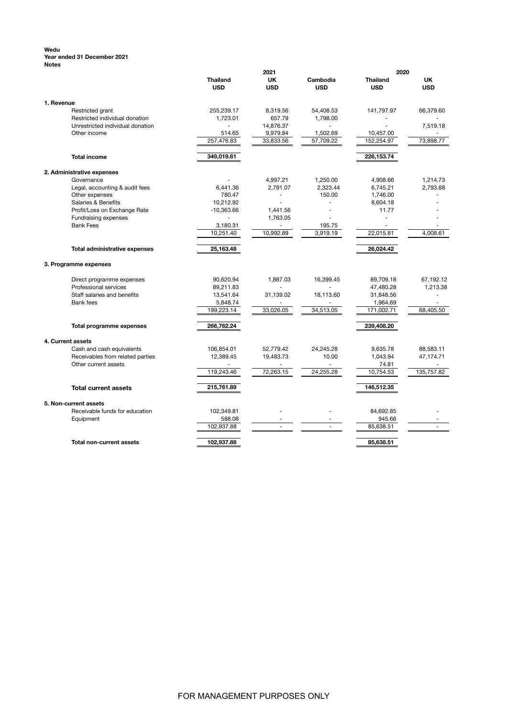#### Wedu Year ended 31 December 2021 Notes

|                                                         | 2021                          |                          | 2020                   |                               |                          |
|---------------------------------------------------------|-------------------------------|--------------------------|------------------------|-------------------------------|--------------------------|
|                                                         | <b>Thailand</b><br><b>USD</b> | UK<br><b>USD</b>         | Cambodia<br><b>USD</b> | <b>Thailand</b><br><b>USD</b> | UK<br><b>USD</b>         |
| 1. Revenue                                              |                               |                          |                        |                               |                          |
| Restricted grant                                        | 255,239.17                    | 8,319.56                 | 54,408.53              | 141,797.97                    | 66,379.60                |
| Restricted individual donation                          | 1,723.01                      | 657.79                   | 1,798.00               |                               |                          |
| Unrestricted individual donation                        |                               | 14,876.37                |                        | ٠                             | 7,519.18                 |
| Other income                                            | 514.65                        | 9,979.84                 | 1,502.69               | 10,457.00                     |                          |
|                                                         | 257,476.83                    | 33,833.56                | 57,709.22              | 152,254.97                    | 73,898.77                |
| <b>Total income</b>                                     | 349,019.61                    |                          |                        | 226,153.74                    |                          |
| 2. Administrative expenses                              |                               |                          |                        |                               |                          |
| Governance                                              |                               | 4,997.21                 | 1,250.00               | 4,908.66                      | 1,214.73                 |
| Legal, accounting & audit fees                          | 6,441.36                      | 2,791.07                 | 2,323.44               | 6,745.21                      | 2,793.88                 |
| Other expenses                                          | 780.47                        |                          | 150.00                 | 1,746.00                      |                          |
| Salaries & Benefits                                     | 10,212.92                     |                          |                        | 8,604.18                      |                          |
| Profit/Loss on Exchange Rate                            | $-10,363.66$                  | 1,441.56                 |                        | 11.77                         |                          |
| Fundraising expenses                                    |                               | 1,763.05                 |                        | L.                            |                          |
| <b>Bank Fees</b>                                        | 3,180.31                      |                          | 195.75                 |                               |                          |
|                                                         | 10,251.40                     | 10,992.89                | 3,919.19               | 22,015.81                     | 4,008.61                 |
| <b>Total administrative expenses</b>                    | 25,163.48                     |                          |                        | 26,024.42                     |                          |
| 3. Programme expenses                                   |                               |                          |                        |                               |                          |
| Direct programme expenses                               | 90,620.94                     | 1,887.03                 | 16,399.45              | 89,709.18                     | 67,192.12                |
| Professional services                                   | 89,211.83                     |                          |                        | 47,480.28                     | 1,213.38                 |
| Staff salaries and benefits                             | 13,541.64                     | 31,139.02                | 18,113.60              | 31,848.56                     | ÷.                       |
| <b>Bank</b> fees                                        | 5,848.74                      |                          | ÷.                     | 1,964.69                      |                          |
|                                                         | 199,223.14                    | 33,026.05                | 34,513.05              | 171,002.71                    | 68,405.50                |
| <b>Total programme expenses</b>                         | 266,762.24                    |                          |                        | 239,408.20                    |                          |
| 4. Current assets                                       |                               |                          |                        |                               |                          |
| Cash and cash equivalents                               | 106,854.01                    | 52,779.42                | 24,245.28              | 9,635.78                      | 88,583.11                |
| Receivables from related parties                        | 12,389.45                     | 19,483.73                | 10.00                  | 1,043.94                      | 47,174.71                |
| Other current assets                                    |                               |                          | $\sim$                 | 74.81                         |                          |
|                                                         | 119,243.46                    | 72,263.15                | 24,255.28              | 10,754.53                     | 135,757.82               |
| <b>Total current assets</b>                             | 215,761.89                    |                          |                        | 146,512.35                    |                          |
|                                                         |                               |                          |                        |                               |                          |
| 5. Non-current assets<br>Receivable funds for education | 102,349.81                    |                          |                        | 84,692.85                     |                          |
| Equipment                                               | 588.08                        | $\overline{\phantom{a}}$ |                        | 945.66                        | $\overline{\phantom{a}}$ |
|                                                         | 102,937.88                    | ÷.                       |                        | 85,638.51                     | ÷.                       |
| Total non-current assets                                | 102,937.88                    |                          |                        | 85,638.51                     |                          |